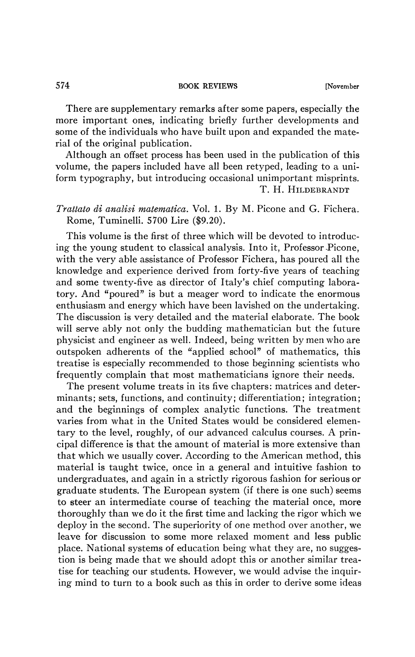## 574 BOOK REVIEWS Movember

There are supplementary remarks after some papers, especially the more important ones, indicating briefly further developments and some of the individuals who have built upon and expanded the material of the original publication.

Although an offset process has been used in the publication of this volume, the papers included have all been retyped, leading to a uniform typography, but introducing occasional unimportant misprints. T. H. HlLDEBRANDT

## *Trattato di analisi malematica.* Vol. 1. By M. Picone and G. Fichera. Rome, Tuminelli. 5700 Lire (\$9.20).

This volume is the first of three which will be devoted to introducing the young student to classical analysis. Into it, Professor Picone, with the very able assistance of Professor Fichera, has poured all the knowledge and experience derived from forty-five years of teaching and some twenty-five as director of Italy's chief computing laboratory. And "poured" is but a meager word to indicate the enormous enthusiasm and energy which have been lavished on the undertaking. The discussion is very detailed and the material elaborate. The book will serve ably not only the budding mathematician but the future physicist and engineer as well. Indeed, being written by men who are outspoken adherents of the "applied school" of mathematics, this treatise is especially recommended to those beginning scientists who frequently complain that most mathematicians ignore their needs.

The present volume treats in its five chapters: matrices and determinants; sets, functions, and continuity; differentiation; integration; and the beginnings of complex analytic functions. The treatment varies from what in the United States would be considered elementary to the level, roughly, of our advanced calculus courses. A principal difference is that the amount of material is more extensive than that which we usually cover. According to the American method, this material is taught twice, once in a general and intuitive fashion to undergraduates, and again in a strictly rigorous fashion for serious or graduate students. The European system (if there is one such) seems to steer an intermediate course of teaching the material once, more thoroughly than we do it the first time and lacking the rigor which we deploy in the second. The superiority of one method over another, we leave for discussion to some more relaxed moment and less public place. National systems of education being what they are, no suggestion is being made that we should adopt this or another similar treatise for teaching our students. However, we would advise the inquiring mind to turn to a book such as this in order to derive some ideas